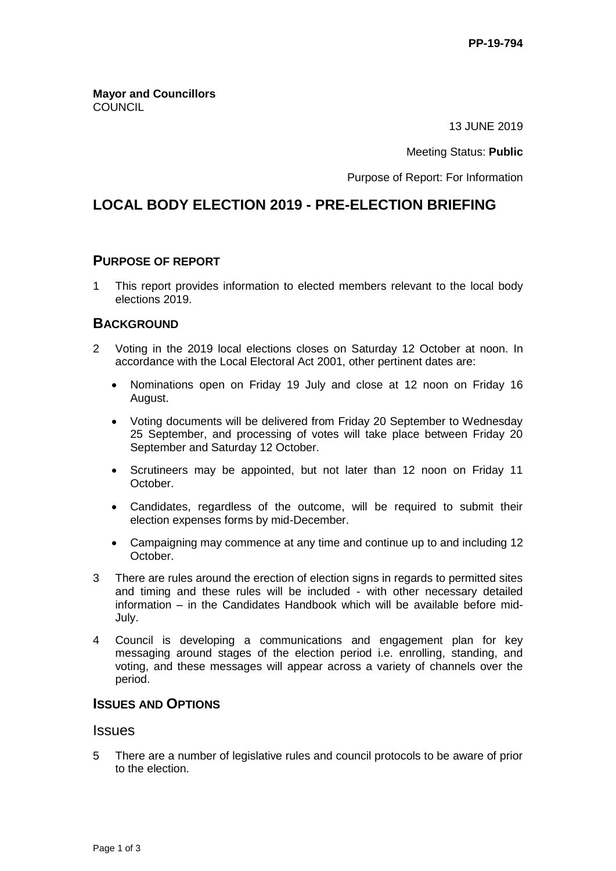**Mayor and Councillors COUNCIL** 

13 JUNE 2019

Meeting Status: **Public**

Purpose of Report: For Information

# **LOCAL BODY ELECTION 2019 - PRE-ELECTION BRIEFING**

#### **PURPOSE OF REPORT**

1 This report provides information to elected members relevant to the local body elections 2019.

### **BACKGROUND**

- 2 Voting in the 2019 local elections closes on Saturday 12 October at noon. In accordance with the Local Electoral Act 2001, other pertinent dates are:
	- Nominations open on Friday 19 July and close at 12 noon on Friday 16 August.
	- Voting documents will be delivered from Friday 20 September to Wednesday 25 September, and processing of votes will take place between Friday 20 September and Saturday 12 October.
	- Scrutineers may be appointed, but not later than 12 noon on Friday 11 October.
	- Candidates, regardless of the outcome, will be required to submit their election expenses forms by mid-December.
	- Campaigning may commence at any time and continue up to and including 12 October.
- 3 There are rules around the erection of election signs in regards to permitted sites and timing and these rules will be included - with other necessary detailed information – in the Candidates Handbook which will be available before mid-July.
- 4 Council is developing a communications and engagement plan for key messaging around stages of the election period i.e. enrolling, standing, and voting, and these messages will appear across a variety of channels over the period.

### **ISSUES AND OPTIONS**

### **Issues**

5 There are a number of legislative rules and council protocols to be aware of prior to the election.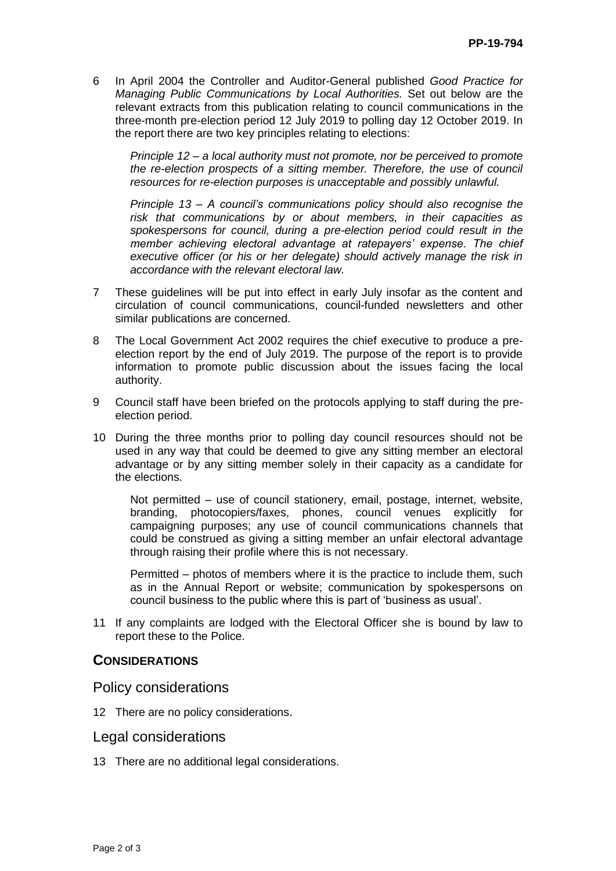6 In April 2004 the Controller and Auditor-General published *Good Practice for Managing Public Communications by Local Authorities.* Set out below are the relevant extracts from this publication relating to council communications in the three-month pre-election period 12 July 2019 to polling day 12 October 2019. In the report there are two key principles relating to elections:

*Principle 12 – a local authority must not promote, nor be perceived to promote the re-election prospects of a sitting member. Therefore, the use of council resources for re-election purposes is unacceptable and possibly unlawful.*

*Principle 13 – A council's communications policy should also recognise the risk that communications by or about members, in their capacities as spokespersons for council, during a pre-election period could result in the member achieving electoral advantage at ratepayers' expense. The chief executive officer (or his or her delegate) should actively manage the risk in accordance with the relevant electoral law.*

- 7 These guidelines will be put into effect in early July insofar as the content and circulation of council communications, council-funded newsletters and other similar publications are concerned.
- 8 The Local Government Act 2002 requires the chief executive to produce a preelection report by the end of July 2019. The purpose of the report is to provide information to promote public discussion about the issues facing the local authority.
- 9 Council staff have been briefed on the protocols applying to staff during the preelection period.
- 10 During the three months prior to polling day council resources should not be used in any way that could be deemed to give any sitting member an electoral advantage or by any sitting member solely in their capacity as a candidate for the elections.

Not permitted – use of council stationery, email, postage, internet, website, branding, photocopiers/faxes, phones, council venues explicitly for campaigning purposes; any use of council communications channels that could be construed as giving a sitting member an unfair electoral advantage through raising their profile where this is not necessary.

Permitted – photos of members where it is the practice to include them, such as in the Annual Report or website; communication by spokespersons on council business to the public where this is part of 'business as usual'.

11 If any complaints are lodged with the Electoral Officer she is bound by law to report these to the Police.

### **CONSIDERATIONS**

Policy considerations

12 There are no policy considerations.

#### Legal considerations

13 There are no additional legal considerations.